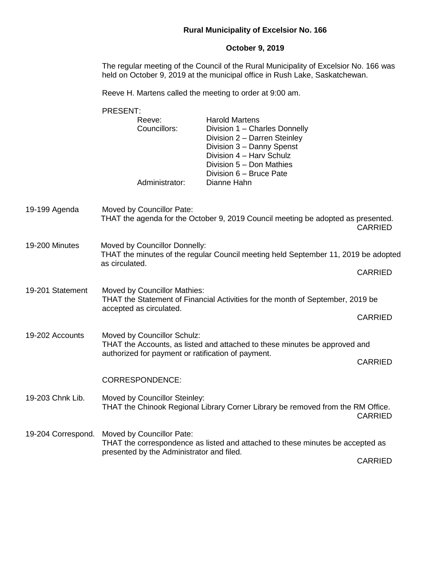## **Rural Municipality of Excelsior No. 166**

# **October 9, 2019**

The regular meeting of the Council of the Rural Municipality of Excelsior No. 166 was held on October 9, 2019 at the municipal office in Rush Lake, Saskatchewan.

Reeve H. Martens called the meeting to order at 9:00 am.

|                    | PRESENT:                                                                                                                                                        |                                                                                                                                                                                                        |                |  |  |
|--------------------|-----------------------------------------------------------------------------------------------------------------------------------------------------------------|--------------------------------------------------------------------------------------------------------------------------------------------------------------------------------------------------------|----------------|--|--|
|                    | Reeve:<br>Councillors:                                                                                                                                          | <b>Harold Martens</b><br>Division 1 - Charles Donnelly<br>Division 2 - Darren Steinley<br>Division 3 - Danny Spenst<br>Division 4 - Harv Schulz<br>Division 5 - Don Mathies<br>Division 6 - Bruce Pate |                |  |  |
|                    | Administrator:                                                                                                                                                  | Dianne Hahn                                                                                                                                                                                            |                |  |  |
| 19-199 Agenda      | Moved by Councillor Pate:                                                                                                                                       | THAT the agenda for the October 9, 2019 Council meeting be adopted as presented.                                                                                                                       | <b>CARRIED</b> |  |  |
| 19-200 Minutes     | Moved by Councillor Donnelly:<br>THAT the minutes of the regular Council meeting held September 11, 2019 be adopted<br>as circulated.                           |                                                                                                                                                                                                        |                |  |  |
|                    |                                                                                                                                                                 | <b>CARRIED</b>                                                                                                                                                                                         |                |  |  |
| 19-201 Statement   | Moved by Councillor Mathies:<br>THAT the Statement of Financial Activities for the month of September, 2019 be                                                  |                                                                                                                                                                                                        |                |  |  |
|                    | accepted as circulated.                                                                                                                                         | <b>CARRIED</b>                                                                                                                                                                                         |                |  |  |
| 19-202 Accounts    | Moved by Councillor Schulz:<br>THAT the Accounts, as listed and attached to these minutes be approved and<br>authorized for payment or ratification of payment. |                                                                                                                                                                                                        |                |  |  |
|                    |                                                                                                                                                                 | <b>CARRIED</b>                                                                                                                                                                                         |                |  |  |
|                    | <b>CORRESPONDENCE:</b>                                                                                                                                          |                                                                                                                                                                                                        |                |  |  |
| 19-203 Chnk Lib.   | Moved by Councillor Steinley:                                                                                                                                   | THAT the Chinook Regional Library Corner Library be removed from the RM Office.                                                                                                                        | <b>CARRIED</b> |  |  |
| 19-204 Correspond. | Moved by Councillor Pate:<br>THAT the correspondence as listed and attached to these minutes be accepted as<br>presented by the Administrator and filed.        |                                                                                                                                                                                                        |                |  |  |
|                    |                                                                                                                                                                 |                                                                                                                                                                                                        | <b>CARRIED</b> |  |  |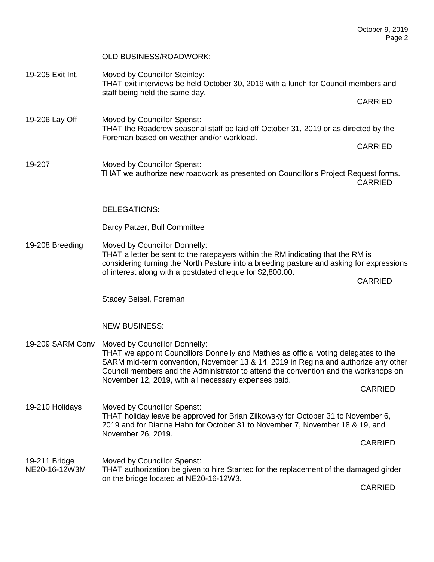### OLD BUSINESS/ROADWORK:

19-205 Exit Int. Moved by Councillor Steinley: THAT exit interviews be held October 30, 2019 with a lunch for Council members and staff being held the same day.

CARRIED

CARRIED

- 19-206 Lay Off Moved by Councillor Spenst: THAT the Roadcrew seasonal staff be laid off October 31, 2019 or as directed by the Foreman based on weather and/or workload.
- 19-207 Moved by Councillor Spenst: THAT we authorize new roadwork as presented on Councillor's Project Request forms. CARRIED

#### DELEGATIONS:

#### Darcy Patzer, Bull Committee

19-208 Breeding Moved by Councillor Donnelly: THAT a letter be sent to the ratepayers within the RM indicating that the RM is considering turning the North Pasture into a breeding pasture and asking for expressions of interest along with a postdated cheque for \$2,800.00.

CARRIED

Stacey Beisel, Foreman

#### NEW BUSINESS:

19-209 SARM Conv Moved by Councillor Donnelly: THAT we appoint Councillors Donnelly and Mathies as official voting delegates to the SARM mid-term convention, November 13 & 14, 2019 in Regina and authorize any other Council members and the Administrator to attend the convention and the workshops on November 12, 2019, with all necessary expenses paid.

CARRIED

19-210 Holidays Moved by Councillor Spenst: THAT holiday leave be approved for Brian Zilkowsky for October 31 to November 6, 2019 and for Dianne Hahn for October 31 to November 7, November 18 & 19, and November 26, 2019.

CARRIED

19-211 Bridge Moved by Councillor Spenst: NE20-16-12W3M THAT authorization be given to hire Stantec for the replacement of the damaged girder on the bridge located at NE20-16-12W3.

CARRIED